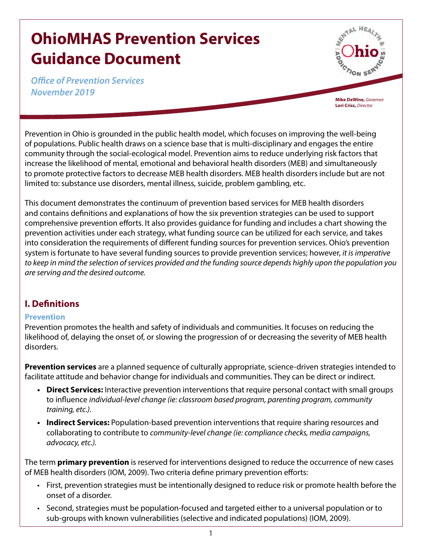# **OhioMHAS Prevention Services Guidance Document**

*Office of Prevention Services November 2019*

**Mike DeWine,** *Governor* **Lori Criss,** *Director*

Prevention in Ohio is grounded in the public health model, which focuses on improving the well-being of populations. Public health draws on a science base that is multi-disciplinary and engages the entire community through the social-ecological model. Prevention aims to reduce underlying risk factors that increase the likelihood of mental, emotional and behavioral health disorders (MEB) and simultaneously to promote protective factors to decrease MEB health disorders. MEB health disorders include but are not limited to: substance use disorders, mental illness, suicide, problem gambling, etc.

This document demonstrates the continuum of prevention based services for MEB health disorders and contains definitions and explanations of how the six prevention strategies can be used to support comprehensive prevention efforts. It also provides guidance for funding and includes a chart showing the prevention activities under each strategy, what funding source can be utilized for each service, and takes into consideration the requirements of different funding sources for prevention services. Ohio's prevention system is fortunate to have several funding sources to provide prevention services; however, *it is imperative to keep in mind the selection of services provided and the funding source depends highly upon the population you are serving and the desired outcome.* 

## **I. Definitions**

## **Prevention**

Prevention promotes the health and safety of individuals and communities. It focuses on reducing the likelihood of, delaying the onset of, or slowing the progression of or decreasing the severity of MEB health disorders.

**Prevention services** are a planned sequence of culturally appropriate, science-driven strategies intended to facilitate attitude and behavior change for individuals and communities. They can be direct or indirect.

- **• Direct Services:** Interactive prevention interventions that require personal contact with small groups to influence *individual-level change (ie: classroom based program, parenting program, community training, etc.).*
- **• Indirect Services:** Population-based prevention interventions that require sharing resources and collaborating to contribute to *community-level change (ie: compliance checks, media campaigns, advocacy, etc.).*

The term **primary prevention** is reserved for interventions designed to reduce the occurrence of new cases of MEB health disorders (IOM, 2009). Two criteria define primary prevention efforts:

- First, prevention strategies must be intentionally designed to reduce risk or promote health before the onset of a disorder.
- Second, strategies must be population-focused and targeted either to a universal population or to sub-groups with known vulnerabilities (selective and indicated populations) (IOM, 2009).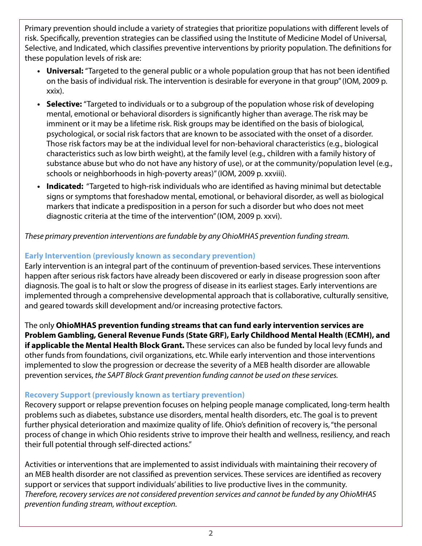Primary prevention should include a variety of strategies that prioritize populations with different levels of risk. Specifically, prevention strategies can be classified using the Institute of Medicine Model of Universal, Selective, and Indicated, which classifies preventive interventions by priority population. The definitions for these population levels of risk are:

- Universal: "Targeted to the general public or a whole population group that has not been identified on the basis of individual risk. The intervention is desirable for everyone in that group" (IOM, 2009 p. xxix).
- **• Selective:** "Targeted to individuals or to a subgroup of the population whose risk of developing mental, emotional or behavioral disorders is significantly higher than average. The risk may be imminent or it may be a lifetime risk. Risk groups may be identified on the basis of biological, psychological, or social risk factors that are known to be associated with the onset of a disorder. Those risk factors may be at the individual level for non-behavioral characteristics (e.g., biological characteristics such as low birth weight), at the family level (e.g., children with a family history of substance abuse but who do not have any history of use), or at the community/population level (e.g., schools or neighborhoods in high-poverty areas)" (IOM, 2009 p. xxviii).
- **• Indicated:** "Targeted to high-risk individuals who are identified as having minimal but detectable signs or symptoms that foreshadow mental, emotional, or behavioral disorder, as well as biological markers that indicate a predisposition in a person for such a disorder but who does not meet diagnostic criteria at the time of the intervention" (IOM, 2009 p. xxvi).

*These primary prevention interventions are fundable by any OhioMHAS prevention funding stream.*

## **Early Intervention (previously known as secondary prevention)**

Early intervention is an integral part of the continuum of prevention-based services. These interventions happen after serious risk factors have already been discovered or early in disease progression soon after diagnosis. The goal is to halt or slow the progress of disease in its earliest stages. Early interventions are implemented through a comprehensive developmental approach that is collaborative, culturally sensitive, and geared towards skill development and/or increasing protective factors.

The only **OhioMHAS prevention funding streams that can fund early intervention services are Problem Gambling, General Revenue Funds (State GRF), Early Childhood Mental Health (ECMH), and if applicable the Mental Health Block Grant.** These services can also be funded by local levy funds and other funds from foundations, civil organizations, etc. While early intervention and those interventions implemented to slow the progression or decrease the severity of a MEB health disorder are allowable prevention services, *the SAPT Block Grant prevention funding cannot be used on these services.*

## **Recovery Support (previously known as tertiary prevention)**

Recovery support or relapse prevention focuses on helping people manage complicated, long-term health problems such as diabetes, substance use disorders, mental health disorders, etc. The goal is to prevent further physical deterioration and maximize quality of life. Ohio's definition of recovery is, "the personal process of change in which Ohio residents strive to improve their health and wellness, resiliency, and reach their full potential through self-directed actions."

Activities or interventions that are implemented to assist individuals with maintaining their recovery of an MEB health disorder are not classified as prevention services. These services are identified as recovery support or services that support individuals' abilities to live productive lives in the community. *Therefore, recovery services are not considered prevention services and cannot be funded by any OhioMHAS prevention funding stream, without exception.*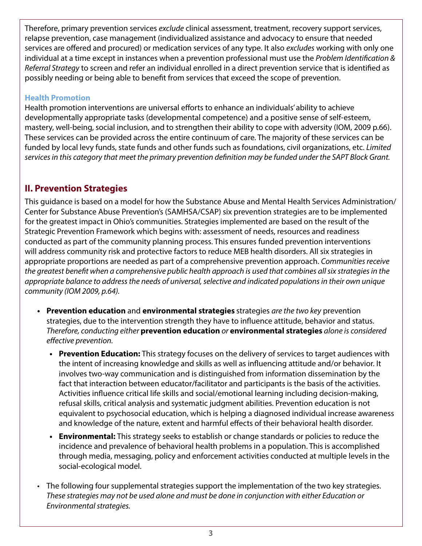Therefore, primary prevention services *exclude* clinical assessment, treatment, recovery support services, relapse prevention, case management (individualized assistance and advocacy to ensure that needed services are offered and procured) or medication services of any type. It also *excludes* working with only one individual at a time except in instances when a prevention professional must use the *Problem Identification & Referral Strategy* to screen and refer an individual enrolled in a direct prevention service that is identified as possibly needing or being able to benefit from services that exceed the scope of prevention.

## **Health Promotion**

Health promotion interventions are universal efforts to enhance an individuals' ability to achieve developmentally appropriate tasks (developmental competence) and a positive sense of self-esteem, mastery, well-being, social inclusion, and to strengthen their ability to cope with adversity (IOM, 2009 p.66). These services can be provided across the entire continuum of care. The majority of these services can be funded by local levy funds, state funds and other funds such as foundations, civil organizations, etc. *Limited services in this category that meet the primary prevention definition may be funded under the SAPT Block Grant.*

## **II. Prevention Strategies**

This guidance is based on a model for how the Substance Abuse and Mental Health Services Administration/ Center for Substance Abuse Prevention's (SAMHSA/CSAP) six prevention strategies are to be implemented for the greatest impact in Ohio's communities. Strategies implemented are based on the result of the Strategic Prevention Framework which begins with: assessment of needs, resources and readiness conducted as part of the community planning process. This ensures funded prevention interventions will address community risk and protective factors to reduce MEB health disorders. All six strategies in appropriate proportions are needed as part of a comprehensive prevention approach. *Communities receive the greatest benefit when a comprehensive public health approach is used that combines all six strategies in the appropriate balance to address the needs of universal, selective and indicated populations in their own unique community (IOM 2009, p.64).*

- **• Prevention education** and **environmental strategies** strategies *are the two key* prevention strategies, due to the intervention strength they have to influence attitude, behavior and status. *Therefore, conducting either* **prevention education** *or* **environmental strategies** *alone is considered effective prevention.* 
	- **• Prevention Education:** This strategy focuses on the delivery of services to target audiences with the intent of increasing knowledge and skills as well as influencing attitude and/or behavior. It involves two-way communication and is distinguished from information dissemination by the fact that interaction between educator/facilitator and participants is the basis of the activities. Activities influence critical life skills and social/emotional learning including decision-making, refusal skills, critical analysis and systematic judgment abilities. Prevention education is not equivalent to psychosocial education, which is helping a diagnosed individual increase awareness and knowledge of the nature, extent and harmful effects of their behavioral health disorder.
	- **• Environmental:** This strategy seeks to establish or change standards or policies to reduce the incidence and prevalence of behavioral health problems in a population. This is accomplished through media, messaging, policy and enforcement activities conducted at multiple levels in the social-ecological model.
- The following four supplemental strategies support the implementation of the two key strategies. *These strategies may not be used alone and must be done in conjunction with either Education or Environmental strategies.*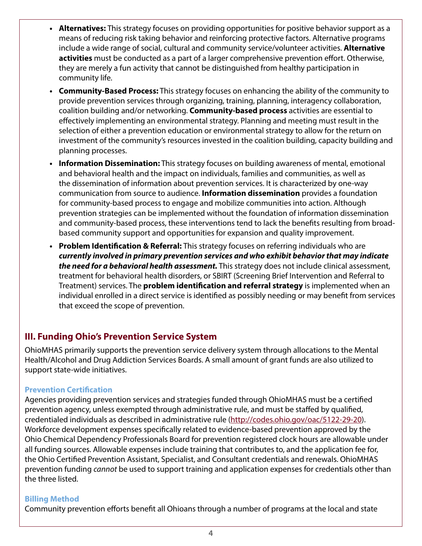- **• Alternatives:** This strategy focuses on providing opportunities for positive behavior support as a means of reducing risk taking behavior and reinforcing protective factors. Alternative programs include a wide range of social, cultural and community service/volunteer activities. **Alternative activities** must be conducted as a part of a larger comprehensive prevention effort. Otherwise, they are merely a fun activity that cannot be distinguished from healthy participation in community life.
- **• Community-Based Process:** This strategy focuses on enhancing the ability of the community to provide prevention services through organizing, training, planning, interagency collaboration, coalition building and/or networking. **Community-based process** activities are essential to effectively implementing an environmental strategy. Planning and meeting must result in the selection of either a prevention education or environmental strategy to allow for the return on investment of the community's resources invested in the coalition building, capacity building and planning processes.
- **• Information Dissemination:** This strategy focuses on building awareness of mental, emotional and behavioral health and the impact on individuals, families and communities, as well as the dissemination of information about prevention services. It is characterized by one-way communication from source to audience. **Information dissemination** provides a foundation for community-based process to engage and mobilize communities into action. Although prevention strategies can be implemented without the foundation of information dissemination and community-based process, these interventions tend to lack the benefits resulting from broadbased community support and opportunities for expansion and quality improvement.
- **• Problem Identification & Referral:** This strategy focuses on referring individuals who are *currently involved in primary prevention services and who exhibit behavior that may indicate the need for a behavioral health assessment.* This strategy does not include clinical assessment, treatment for behavioral health disorders, or SBIRT (Screening Brief Intervention and Referral to Treatment) services. The **problem identification and referral strategy** is implemented when an individual enrolled in a direct service is identified as possibly needing or may benefit from services that exceed the scope of prevention.

## **III. Funding Ohio's Prevention Service System**

OhioMHAS primarily supports the prevention service delivery system through allocations to the Mental Health/Alcohol and Drug Addiction Services Boards. A small amount of grant funds are also utilized to support state-wide initiatives.

## **Prevention Certification**

Agencies providing prevention services and strategies funded through OhioMHAS must be a certified prevention agency, unless exempted through administrative rule, and must be staffed by qualified, credentialed individuals as described in administrative rule ([http://codes.ohio.gov/oac/5122-29-20\)](http://codes.ohio.gov/oac/5122-29-20). Workforce development expenses specifically related to evidence-based prevention approved by the Ohio Chemical Dependency Professionals Board for prevention registered clock hours are allowable under all funding sources. Allowable expenses include training that contributes to, and the application fee for, the Ohio Certified Prevention Assistant, Specialist, and Consultant credentials and renewals. OhioMHAS prevention funding *cannot* be used to support training and application expenses for credentials other than the three listed.

## **Billing Method**

Community prevention efforts benefit all Ohioans through a number of programs at the local and state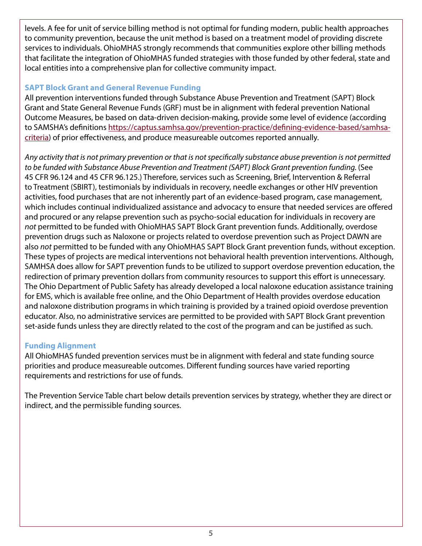levels. A fee for unit of service billing method is not optimal for funding modern, public health approaches to community prevention, because the unit method is based on a treatment model of providing discrete services to individuals. OhioMHAS strongly recommends that communities explore other billing methods that facilitate the integration of OhioMHAS funded strategies with those funded by other federal, state and local entities into a comprehensive plan for collective community impact.

## **SAPT Block Grant and General Revenue Funding**

All prevention interventions funded through Substance Abuse Prevention and Treatment (SAPT) Block Grant and State General Revenue Funds (GRF) must be in alignment with federal prevention National Outcome Measures, be based on data-driven decision-making, provide some level of evidence (according to SAMSHA's definitions [https://captus.samhsa.gov/prevention-practice/defining-evidence-based/samhsa](https://captus.samhsa.gov/prevention-practice/defining-evidence-based/samhsa-criteria)[criteria\)](https://captus.samhsa.gov/prevention-practice/defining-evidence-based/samhsa-criteria) of prior effectiveness, and produce measureable outcomes reported annually.

*Any activity that is not primary prevention or that is not specifically substance abuse prevention is not permitted to be funded with Substance Abuse Prevention and Treatment (SAPT) Block Grant prevention funding.* (See 45 CFR 96.124 and 45 CFR 96.125.) Therefore, services such as Screening, Brief, Intervention & Referral to Treatment (SBIRT), testimonials by individuals in recovery, needle exchanges or other HIV prevention activities, food purchases that are not inherently part of an evidence-based program, case management, which includes continual individualized assistance and advocacy to ensure that needed services are offered and procured or any relapse prevention such as psycho-social education for individuals in recovery are *not* permitted to be funded with OhioMHAS SAPT Block Grant prevention funds. Additionally, overdose prevention drugs such as Naloxone or projects related to overdose prevention such as Project DAWN are also *not* permitted to be funded with any OhioMHAS SAPT Block Grant prevention funds, without exception. These types of projects are medical interventions not behavioral health prevention interventions. Although, SAMHSA does allow for SAPT prevention funds to be utilized to support overdose prevention education, the redirection of primary prevention dollars from community resources to support this effort is unnecessary. The Ohio Department of Public Safety has already developed a local naloxone education assistance training for EMS, which is available free online, and the Ohio Department of Health provides overdose education and naloxone distribution programs in which training is provided by a trained opioid overdose prevention educator. Also, no administrative services are permitted to be provided with SAPT Block Grant prevention set-aside funds unless they are directly related to the cost of the program and can be justified as such.

## **Funding Alignment**

All OhioMHAS funded prevention services must be in alignment with federal and state funding source priorities and produce measureable outcomes. Different funding sources have varied reporting requirements and restrictions for use of funds.

The Prevention Service Table chart below details prevention services by strategy, whether they are direct or indirect, and the permissible funding sources.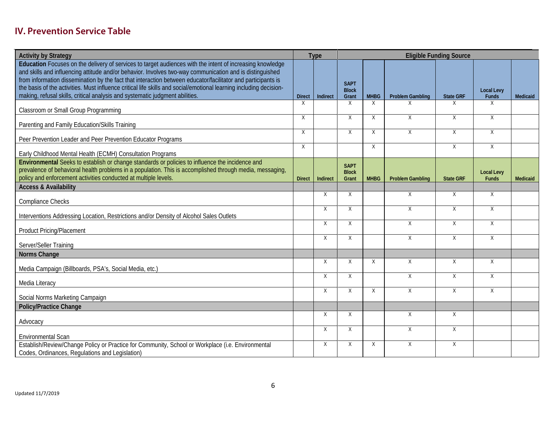# **IV. Prevention Service Table**

| <b>Activity by Strategy</b>                                                                                                                                                                                                                                                                                                                                                                                                                                                                                                                 |               | Type     | <b>Eligible Funding Source</b>       |              |                         |                  |                                   |          |
|---------------------------------------------------------------------------------------------------------------------------------------------------------------------------------------------------------------------------------------------------------------------------------------------------------------------------------------------------------------------------------------------------------------------------------------------------------------------------------------------------------------------------------------------|---------------|----------|--------------------------------------|--------------|-------------------------|------------------|-----------------------------------|----------|
| Education Focuses on the delivery of services to target audiences with the intent of increasing knowledge<br>and skills and influencing attitude and/or behavior. Involves two-way communication and is distinguished<br>from information dissemination by the fact that interaction between educator/facilitator and participants is<br>the basis of the activities. Must influence critical life skills and social/emotional learning including decision-<br>making, refusal skills, critical analysis and systematic judgment abilities. | <b>Direct</b> | Indirect | <b>SAPT</b><br><b>Block</b><br>Grant | <b>MHBG</b>  | <b>Problem Gambling</b> | <b>State GRF</b> | <b>Local Levy</b><br>Funds        | Medicaid |
| Classroom or Small Group Programming                                                                                                                                                                                                                                                                                                                                                                                                                                                                                                        | X             |          | $\times$                             | X            | Χ                       | X                | X                                 |          |
| Parenting and Family Education/Skills Training                                                                                                                                                                                                                                                                                                                                                                                                                                                                                              | $\chi$        |          | $\mathsf{X}$                         | $\mathsf{X}$ | $\mathsf{X}$            | $\overline{X}$   | $\overline{X}$                    |          |
| Peer Prevention Leader and Peer Prevention Educator Programs                                                                                                                                                                                                                                                                                                                                                                                                                                                                                | X             |          | $\times$                             | X            | $\times$                | $\times$         | X                                 |          |
| Early Childhood Mental Health (ECMH) Consultation Programs                                                                                                                                                                                                                                                                                                                                                                                                                                                                                  | X             |          |                                      | X            |                         | X                | X                                 |          |
| Environmental Seeks to establish or change standards or policies to influence the incidence and<br>prevalence of behavioral health problems in a population. This is accomplished through media, messaging,<br>policy and enforcement activities conducted at multiple levels.                                                                                                                                                                                                                                                              | <b>Direct</b> | Indirect | <b>SAPT</b><br><b>Block</b><br>Grant | <b>MHBG</b>  | <b>Problem Gambling</b> | <b>State GRF</b> | <b>Local Levy</b><br><b>Funds</b> | Medicaid |
| <b>Access &amp; Availability</b>                                                                                                                                                                                                                                                                                                                                                                                                                                                                                                            |               |          |                                      |              |                         |                  |                                   |          |
| <b>Compliance Checks</b>                                                                                                                                                                                                                                                                                                                                                                                                                                                                                                                    |               | $\chi$   | X                                    |              | X                       | $\times$         | X                                 |          |
| Interventions Addressing Location, Restrictions and/or Density of Alcohol Sales Outlets                                                                                                                                                                                                                                                                                                                                                                                                                                                     |               | $\chi$   | X                                    |              | X                       | X                | X                                 |          |
| <b>Product Pricing/Placement</b>                                                                                                                                                                                                                                                                                                                                                                                                                                                                                                            |               | X        | X                                    |              | X                       | X                | X                                 |          |
| Server/Seller Training                                                                                                                                                                                                                                                                                                                                                                                                                                                                                                                      |               | $\times$ | X                                    |              | $\overline{X}$          | X                | X                                 |          |
| Norms Change                                                                                                                                                                                                                                                                                                                                                                                                                                                                                                                                |               |          |                                      |              |                         |                  |                                   |          |
| Media Campaign (Billboards, PSA's, Social Media, etc.)                                                                                                                                                                                                                                                                                                                                                                                                                                                                                      |               | X        | X                                    | X            | X                       | X                | X                                 |          |
| Media Literacy                                                                                                                                                                                                                                                                                                                                                                                                                                                                                                                              |               | X        | X                                    |              | X                       | Χ                | X                                 |          |
| Social Norms Marketing Campaign                                                                                                                                                                                                                                                                                                                                                                                                                                                                                                             |               | X        | X                                    | X            | X                       | X                | X                                 |          |
| <b>Policy/Practice Change</b>                                                                                                                                                                                                                                                                                                                                                                                                                                                                                                               |               |          |                                      |              |                         |                  |                                   |          |
| Advocacy                                                                                                                                                                                                                                                                                                                                                                                                                                                                                                                                    |               | $\times$ | X                                    |              | X                       | X                |                                   |          |
| <b>Environmental Scan</b>                                                                                                                                                                                                                                                                                                                                                                                                                                                                                                                   |               | χ        | X                                    |              | X                       | Χ                |                                   |          |
| Establish/Review/Change Policy or Practice for Community, School or Workplace (i.e. Environmental<br>Codes, Ordinances, Regulations and Legislation)                                                                                                                                                                                                                                                                                                                                                                                        |               | X        | Χ                                    | X            | X                       | Χ                |                                   |          |